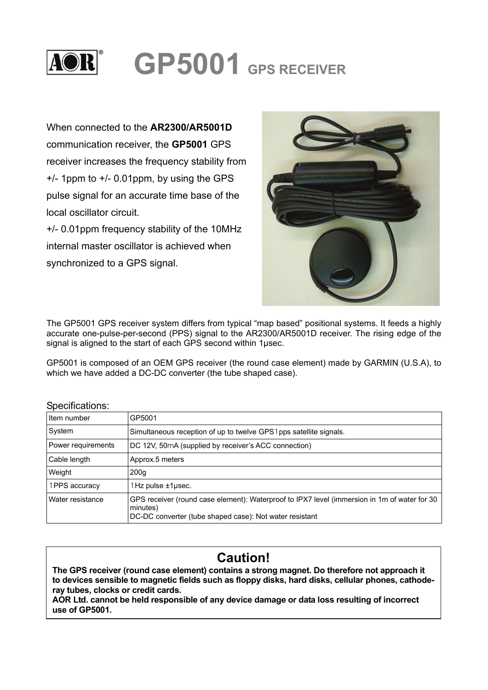

## **GP5001 GPS RECEIVER**

When connected to the **AR2300/AR5001D** communication receiver, the **GP5001** GPS receiver increases the frequency stability from +/- 1ppm to +/- 0.01ppm, by using the GPS pulse signal for an accurate time base of the local oscillator circuit.

+/- 0.01ppm frequency stability of the 10MHz internal master oscillator is achieved when synchronized to a GPS signal.



The GP5001 GPS receiver system differs from typical "map based" positional systems. It feeds a highly accurate one-pulse-per-second (PPS) signal to the AR2300/AR5001D receiver. The rising edge of the signal is aligned to the start of each GPS second within 1μsec.

GP5001 is composed of an OEM GPS receiver (the round case element) made by GARMIN (U.S.A), to which we have added a DC-DC converter (the tube shaped case).

| Specifications:    |                                                                                                                                                                     |
|--------------------|---------------------------------------------------------------------------------------------------------------------------------------------------------------------|
| Item number        | GP5001                                                                                                                                                              |
| System             | Simultaneous reception of up to twelve GPS1 pps satellite signals.                                                                                                  |
| Power requirements | DC 12V, 50mA (supplied by receiver's ACC connection)                                                                                                                |
| Cable length       | Approx.5 meters                                                                                                                                                     |
| Weight             | 200q                                                                                                                                                                |
| 1PPS accuracy      | $1$ Hz pulse $\pm 1$ µsec.                                                                                                                                          |
| Water resistance   | GPS receiver (round case element): Waterproof to IPX7 level (immersion in 1m of water for 30<br>minutes)<br>DC-DC converter (tube shaped case): Not water resistant |

## Specifications:

┌

## **Caution!**

**The GPS receiver (round case element) contains a strong magnet. Do therefore not approach it to devices sensible to magnetic fields such as floppy disks, hard disks, cellular phones, cathoderay tubes, clocks or credit cards.** 

**AOR Ltd. cannot be held responsible of any device damage or data loss resulting of incorrect use of GP5001.**